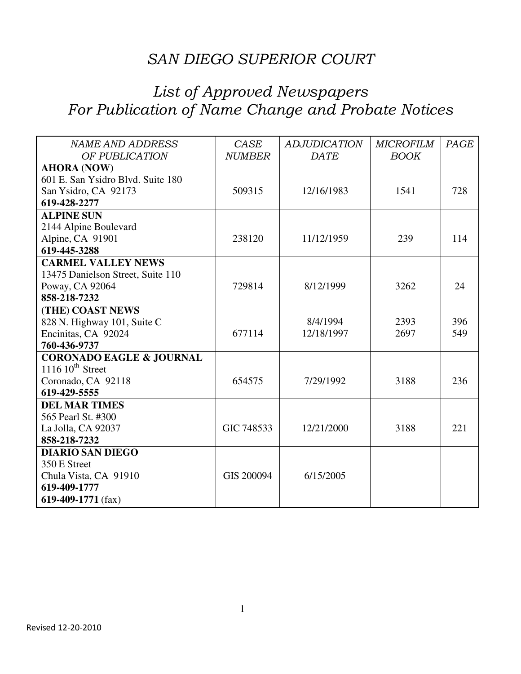| <b>NAME AND ADDRESS</b>             | CASE          | <b>ADJUDICATION</b> | <b>MICROFILM</b> | PAGE |
|-------------------------------------|---------------|---------------------|------------------|------|
| OF PUBLICATION                      | <b>NUMBER</b> | <b>DATE</b>         | <b>BOOK</b>      |      |
| <b>AHORA (NOW)</b>                  |               |                     |                  |      |
| 601 E. San Ysidro Blvd. Suite 180   |               |                     |                  |      |
| San Ysidro, CA 92173                | 509315        | 12/16/1983          | 1541             | 728  |
| 619-428-2277                        |               |                     |                  |      |
| <b>ALPINE SUN</b>                   |               |                     |                  |      |
| 2144 Alpine Boulevard               |               |                     |                  |      |
| Alpine, CA 91901                    | 238120        | 11/12/1959          | 239              | 114  |
| 619-445-3288                        |               |                     |                  |      |
| <b>CARMEL VALLEY NEWS</b>           |               |                     |                  |      |
| 13475 Danielson Street, Suite 110   |               |                     |                  |      |
| Poway, CA 92064                     | 729814        | 8/12/1999           | 3262             | 24   |
| 858-218-7232                        |               |                     |                  |      |
| (THE) COAST NEWS                    |               |                     |                  |      |
| 828 N. Highway 101, Suite C         |               | 8/4/1994            | 2393             | 396  |
| Encinitas, CA 92024                 | 677114        | 12/18/1997          | 2697             | 549  |
| 760-436-9737                        |               |                     |                  |      |
| <b>CORONADO EAGLE &amp; JOURNAL</b> |               |                     |                  |      |
| $1116\,10^{th}$ Street              |               |                     |                  |      |
| Coronado, CA 92118                  | 654575        | 7/29/1992           | 3188             | 236  |
| 619-429-5555                        |               |                     |                  |      |
| <b>DEL MAR TIMES</b>                |               |                     |                  |      |
| 565 Pearl St. #300                  |               |                     |                  |      |
| La Jolla, CA 92037                  | GIC 748533    | 12/21/2000          | 3188             | 221  |
| 858-218-7232                        |               |                     |                  |      |
| <b>DIARIO SAN DIEGO</b>             |               |                     |                  |      |
| 350 E Street                        |               |                     |                  |      |
| Chula Vista, CA 91910               | GIS 200094    | 6/15/2005           |                  |      |
| 619-409-1777                        |               |                     |                  |      |
| 619-409-1771 $(fax)$                |               |                     |                  |      |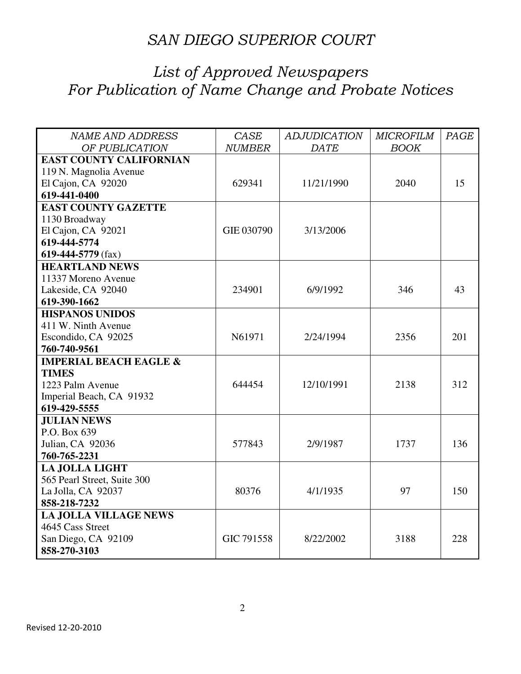| <b>NAME AND ADDRESS</b>           | <b>CASE</b>   | <b>ADJUDICATION</b> | <b>MICROFILM</b> | PAGE |
|-----------------------------------|---------------|---------------------|------------------|------|
| OF PUBLICATION                    | <b>NUMBER</b> | DATE                | <b>BOOK</b>      |      |
| <b>EAST COUNTY CALIFORNIAN</b>    |               |                     |                  |      |
| 119 N. Magnolia Avenue            |               |                     |                  |      |
| El Cajon, CA 92020                | 629341        | 11/21/1990          | 2040             | 15   |
| 619-441-0400                      |               |                     |                  |      |
| <b>EAST COUNTY GAZETTE</b>        |               |                     |                  |      |
| 1130 Broadway                     |               |                     |                  |      |
| El Cajon, CA 92021                | GIE 030790    | 3/13/2006           |                  |      |
| 619-444-5774                      |               |                     |                  |      |
| 619-444-5779 (fax)                |               |                     |                  |      |
| <b>HEARTLAND NEWS</b>             |               |                     |                  |      |
| 11337 Moreno Avenue               |               |                     |                  |      |
| Lakeside, CA 92040                | 234901        | 6/9/1992            | 346              | 43   |
| 619-390-1662                      |               |                     |                  |      |
| <b>HISPANOS UNIDOS</b>            |               |                     |                  |      |
| 411 W. Ninth Avenue               |               |                     |                  |      |
| Escondido, CA 92025               | N61971        | 2/24/1994           | 2356             | 201  |
| 760-740-9561                      |               |                     |                  |      |
| <b>IMPERIAL BEACH EAGLE &amp;</b> |               |                     |                  |      |
| <b>TIMES</b>                      |               |                     |                  |      |
| 1223 Palm Avenue                  | 644454        | 12/10/1991          | 2138             | 312  |
| Imperial Beach, CA 91932          |               |                     |                  |      |
| 619-429-5555                      |               |                     |                  |      |
| <b>JULIAN NEWS</b>                |               |                     |                  |      |
| P.O. Box 639                      |               |                     |                  |      |
| Julian, CA 92036                  | 577843        | 2/9/1987            | 1737             | 136  |
| 760-765-2231                      |               |                     |                  |      |
| <b>LA JOLLA LIGHT</b>             |               |                     |                  |      |
| 565 Pearl Street, Suite 300       |               |                     |                  |      |
| La Jolla, CA 92037                | 80376         | 4/1/1935            | 97               | 150  |
| 858-218-7232                      |               |                     |                  |      |
| <b>LA JOLLA VILLAGE NEWS</b>      |               |                     |                  |      |
| 4645 Cass Street                  |               |                     |                  |      |
| San Diego, CA 92109               | GIC 791558    | 8/22/2002           | 3188             | 228  |
| 858-270-3103                      |               |                     |                  |      |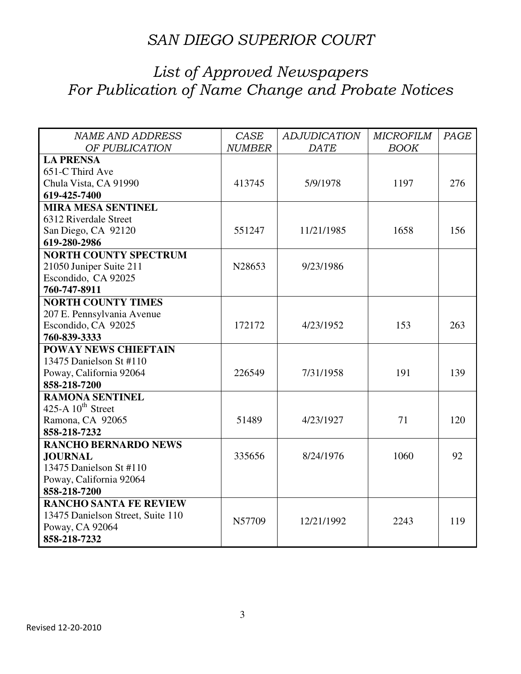| <b>NAME AND ADDRESS</b>           | CASE          | <b>ADJUDICATION</b> | <b>MICROFILM</b> | PAGE |
|-----------------------------------|---------------|---------------------|------------------|------|
| OF PUBLICATION                    | <b>NUMBER</b> | DATE                | <b>BOOK</b>      |      |
| <b>LA PRENSA</b>                  |               |                     |                  |      |
| 651-C Third Ave                   |               |                     |                  |      |
| Chula Vista, CA 91990             | 413745        | 5/9/1978            | 1197             | 276  |
| 619-425-7400                      |               |                     |                  |      |
| <b>MIRA MESA SENTINEL</b>         |               |                     |                  |      |
| 6312 Riverdale Street             |               |                     |                  |      |
| San Diego, CA 92120               | 551247        | 11/21/1985          | 1658             | 156  |
| 619-280-2986                      |               |                     |                  |      |
| <b>NORTH COUNTY SPECTRUM</b>      |               |                     |                  |      |
| 21050 Juniper Suite 211           | N28653        | 9/23/1986           |                  |      |
| Escondido, CA 92025               |               |                     |                  |      |
| 760-747-8911                      |               |                     |                  |      |
| <b>NORTH COUNTY TIMES</b>         |               |                     |                  |      |
| 207 E. Pennsylvania Avenue        |               |                     |                  |      |
| Escondido, CA 92025               | 172172        | 4/23/1952           | 153              | 263  |
| 760-839-3333                      |               |                     |                  |      |
| <b>POWAY NEWS CHIEFTAIN</b>       |               |                     |                  |      |
| 13475 Danielson St #110           |               |                     |                  |      |
| Poway, California 92064           | 226549        | 7/31/1958           | 191              | 139  |
| 858-218-7200                      |               |                     |                  |      |
| <b>RAMONA SENTINEL</b>            |               |                     |                  |      |
| 425-A $10^{th}$ Street            |               |                     |                  |      |
| Ramona, CA 92065                  | 51489         | 4/23/1927           | 71               | 120  |
| 858-218-7232                      |               |                     |                  |      |
| <b>RANCHO BERNARDO NEWS</b>       |               |                     |                  |      |
| <b>JOURNAL</b>                    | 335656        | 8/24/1976           | 1060             | 92   |
| 13475 Danielson St #110           |               |                     |                  |      |
| Poway, California 92064           |               |                     |                  |      |
| 858-218-7200                      |               |                     |                  |      |
| <b>RANCHO SANTA FE REVIEW</b>     |               |                     |                  |      |
| 13475 Danielson Street, Suite 110 | N57709        | 12/21/1992          | 2243             | 119  |
| Poway, CA 92064                   |               |                     |                  |      |
| 858-218-7232                      |               |                     |                  |      |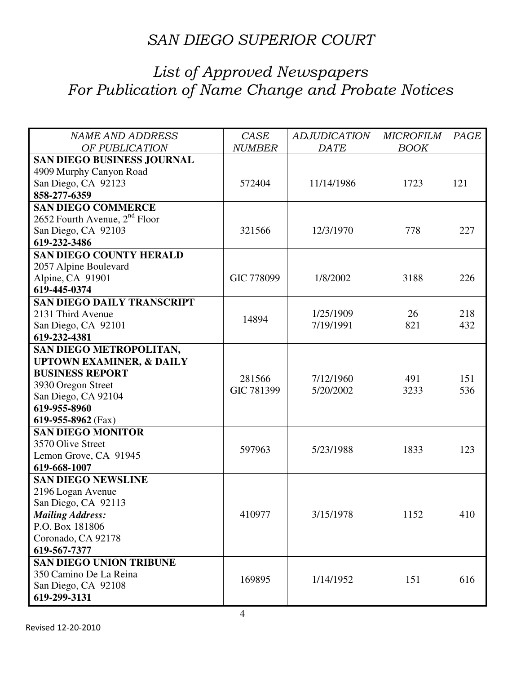| <b>NAME AND ADDRESS</b>             | CASE          | <b>ADJUDICATION</b> | <b>MICROFILM</b> | PAGE |
|-------------------------------------|---------------|---------------------|------------------|------|
| OF PUBLICATION                      | <b>NUMBER</b> | <b>DATE</b>         | <b>BOOK</b>      |      |
| <b>SAN DIEGO BUSINESS JOURNAL</b>   |               |                     |                  |      |
| 4909 Murphy Canyon Road             |               |                     |                  |      |
| San Diego, CA 92123                 | 572404        | 11/14/1986          | 1723             | 121  |
| 858-277-6359                        |               |                     |                  |      |
| <b>SAN DIEGO COMMERCE</b>           |               |                     |                  |      |
| 2652 Fourth Avenue, $2nd$ Floor     |               |                     |                  |      |
| San Diego, CA 92103                 | 321566        | 12/3/1970           | 778              | 227  |
| 619-232-3486                        |               |                     |                  |      |
| <b>SAN DIEGO COUNTY HERALD</b>      |               |                     |                  |      |
| 2057 Alpine Boulevard               |               |                     |                  |      |
| Alpine, CA 91901                    | GIC 778099    | 1/8/2002            | 3188             | 226  |
| 619-445-0374                        |               |                     |                  |      |
| <b>SAN DIEGO DAILY TRANSCRIPT</b>   |               |                     |                  |      |
| 2131 Third Avenue                   | 14894         | 1/25/1909           | 26               | 218  |
| San Diego, CA 92101                 |               | 7/19/1991           | 821              | 432  |
| 619-232-4381                        |               |                     |                  |      |
| SAN DIEGO METROPOLITAN,             |               |                     |                  |      |
| <b>UPTOWN EXAMINER, &amp; DAILY</b> |               |                     |                  |      |
| <b>BUSINESS REPORT</b>              | 281566        | 7/12/1960           | 491              | 151  |
| 3930 Oregon Street                  | GIC 781399    | 5/20/2002           | 3233             | 536  |
| San Diego, CA 92104                 |               |                     |                  |      |
| 619-955-8960                        |               |                     |                  |      |
| 619-955-8962 (Fax)                  |               |                     |                  |      |
| <b>SAN DIEGO MONITOR</b>            |               |                     |                  |      |
| 3570 Olive Street                   | 597963        | 5/23/1988           | 1833             | 123  |
| Lemon Grove, CA 91945               |               |                     |                  |      |
| 619-668-1007                        |               |                     |                  |      |
| <b>SAN DIEGO NEWSLINE</b>           |               |                     |                  |      |
| 2196 Logan Avenue                   |               |                     |                  |      |
| San Diego, CA 92113                 |               |                     |                  |      |
| <b>Mailing Address:</b>             | 410977        | 3/15/1978           | 1152             | 410  |
| P.O. Box 181806                     |               |                     |                  |      |
| Coronado, CA 92178                  |               |                     |                  |      |
| 619-567-7377                        |               |                     |                  |      |
| <b>SAN DIEGO UNION TRIBUNE</b>      |               |                     |                  |      |
| 350 Camino De La Reina              | 169895        | 1/14/1952           | 151              | 616  |
| San Diego, CA 92108                 |               |                     |                  |      |
| 619-299-3131                        |               |                     |                  |      |